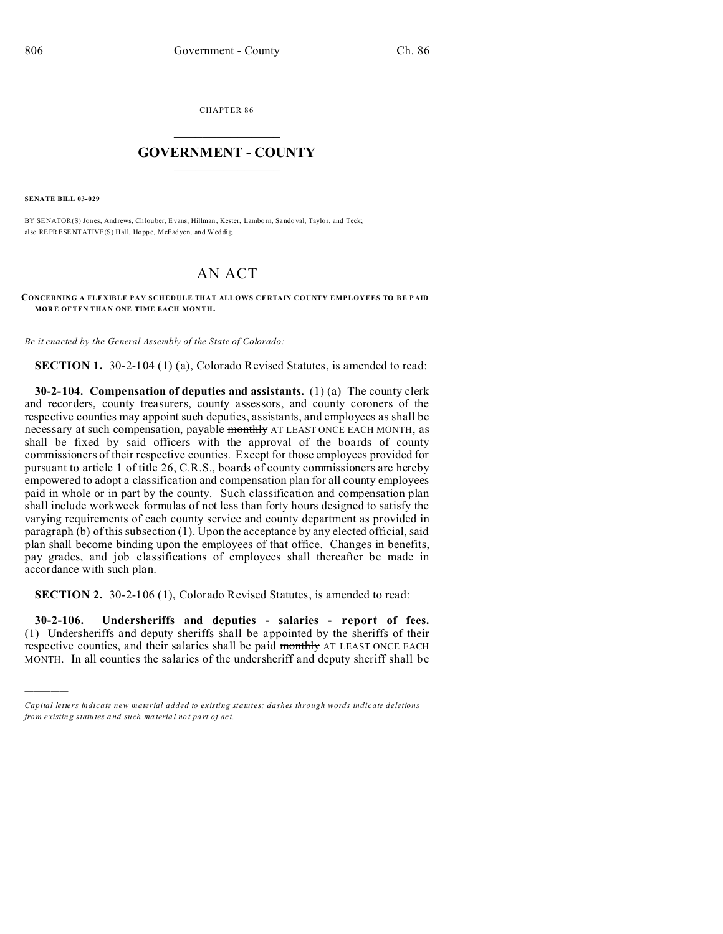CHAPTER 86  $\overline{\phantom{a}}$  , where  $\overline{\phantom{a}}$ 

## **GOVERNMENT - COUNTY**  $\_$

**SENATE BILL 03-029**

)))))

BY SENATOR(S) Jones, Andrews, Ch louber, Evans, Hillman, Kester, Lamborn, Sando val, Taylor, and Teck; also REPRESENTATIVE(S) Hall, Hopp e, McFadyen, and Weddig.

## AN ACT

**CONCERNING A FLEXIBLE PAY SCHEDULE THAT ALLOWS CERTAIN COUNTY EMPLOYEES TO BE P AID MOR E OF TEN THA N ONE TIME EACH MON TH.**

*Be it enacted by the General Assembly of the State of Colorado:*

**SECTION 1.** 30-2-104 (1) (a), Colorado Revised Statutes, is amended to read:

**30-2-104. Compensation of deputies and assistants.** (1) (a) The county clerk and recorders, county treasurers, county assessors, and county coroners of the respective counties may appoint such deputies, assistants, and employees as shall be necessary at such compensation, payable monthly AT LEAST ONCE EACH MONTH, as shall be fixed by said officers with the approval of the boards of county commissioners of their respective counties. Except for those employees provided for pursuant to article 1 of title 26, C.R.S., boards of county commissioners are hereby empowered to adopt a classification and compensation plan for all county employees paid in whole or in part by the county. Such classification and compensation plan shall include workweek formulas of not less than forty hours designed to satisfy the varying requirements of each county service and county department as provided in paragraph (b) of this subsection (1). Upon the acceptance by any elected official, said plan shall become binding upon the employees of that office. Changes in benefits, pay grades, and job classifications of employees shall thereafter be made in accordance with such plan.

**SECTION 2.** 30-2-106 (1), Colorado Revised Statutes, is amended to read:

**30-2-106. Undersheriffs and deputies - salaries - report of fees.** (1) Undersheriffs and deputy sheriffs shall be appointed by the sheriffs of their respective counties, and their salaries shall be paid monthly AT LEAST ONCE EACH MONTH. In all counties the salaries of the undersheriff and deputy sheriff shall be

*Capital letters indicate new material added to existing statutes; dashes through words indicate deletions from e xistin g statu tes a nd such ma teria l no t pa rt of ac t.*